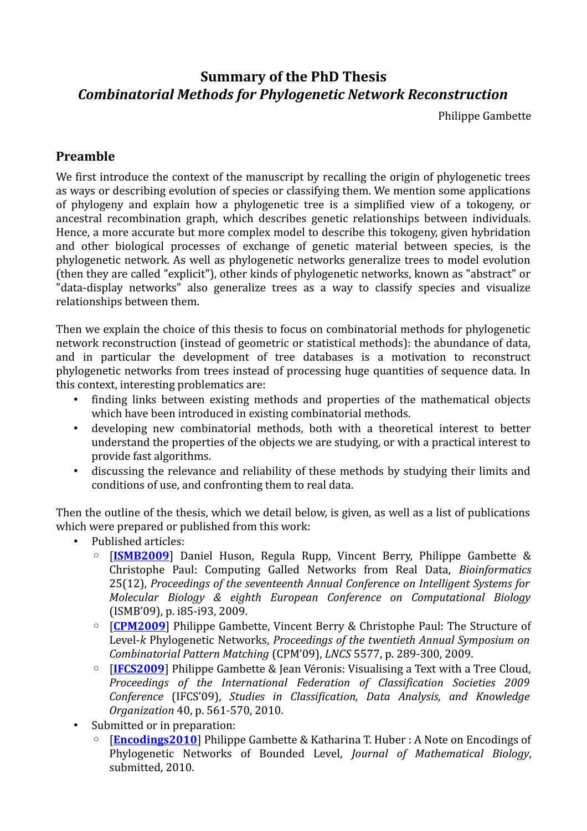# **Summary of the PhD Thesis** *Combinatorial Methods for Phylogenetic Network Reconstruction*

Philippe Gambette

## **Preamble**

We first introduce the context of the manuscript by recalling the origin of phylogenetic trees as ways or describing evolution of species or classifying them. We mention some applications of phylogeny and explain how a phylogenetic tree is a simplified view of a tokogeny, or ancestral recombination graph, which describes genetic relationships between individuals. Hence, a more accurate but more complex model to describe this tokogeny, given hybridation and other biological processes of exchange of genetic material between species, is the phylogenetic network. As well as phylogenetic networks generalize trees to model evolution (then they are called "explicit"), other kinds of phylogenetic networks, known as "abstract" or "data-display networks" also generalize trees as a way to classify species and visualize relationships between them.

Then we explain the choice of this thesis to focus on combinatorial methods for phylogenetic network reconstruction (instead of geometric or statistical methods): the abundance of data, and in particular the development of tree databases is a motivation to reconstruct phylogenetic networks from trees instead of processing huge quantities of sequence data. In this context, interesting problematics are:

- finding links between existing methods and properties of the mathematical objects which have been introduced in existing combinatorial methods.
- developing new combinatorial methods, both with a theoretical interest to better understand the properties of the objects we are studying, or with a practical interest to provide fast algorithms.
- discussing the relevance and reliability of these methods by studying their limits and conditions of use, and confronting them to real data.

Then the outline of the thesis, which we detail below, is given, as well as a list of publications which were prepared or published from this work:

- Published articles:
	- [**[ISMB2009](http://hal-lirmm.ccsd.cnrs.fr/lirmm-00368545/en/)**] Daniel Huson, Regula Rupp, Vincent Berry, Philippe Gambette & Christophe Paul: Computing Galled Networks from Real Data, *Bioinformatics* 25(12), *Proceedings of the seventeenth Annual Conference on Intelligent Systems for Molecular Biology & eighth European Conference on Computational Biology* (ISMB'09), p. i85-i93, 2009.
	- [**[CPM2009](http://hal-lirmm.ccsd.cnrs.fr/lirmm-00371485/en/)**] Philippe Gambette, Vincent Berry & Christophe Paul: The Structure of Level-*k* Phylogenetic Networks, *Proceedings of the twentieth Annual Symposium on Combinatorial Pattern Matching* (CPM'09), *LNCS* 5577, p. 289-300, 2009.
	- [**[IFCS2009](http://hal-lirmm.ccsd.cnrs.fr/lirmm-00373643/en/)**] Philippe Gambette & Jean Véronis: Visualising a Text with a Tree Cloud, *Proceedings of the International Federation of Classification Societies 2009 Conference* (IFCS'09), *Studies in Classification, Data Analysis, and Knowledge Organization* 40, p. 561-570, 2010.
- Submitted or in preparation:
	- **[[Encodings2010](http://hal.archives-ouvertes.fr/hal-00609130/en/)]** Philippe Gambette & Katharina T. Huber : A Note on Encodings of Phylogenetic Networks of Bounded Level, *Journal of Mathematical Biology*, submitted, 2010.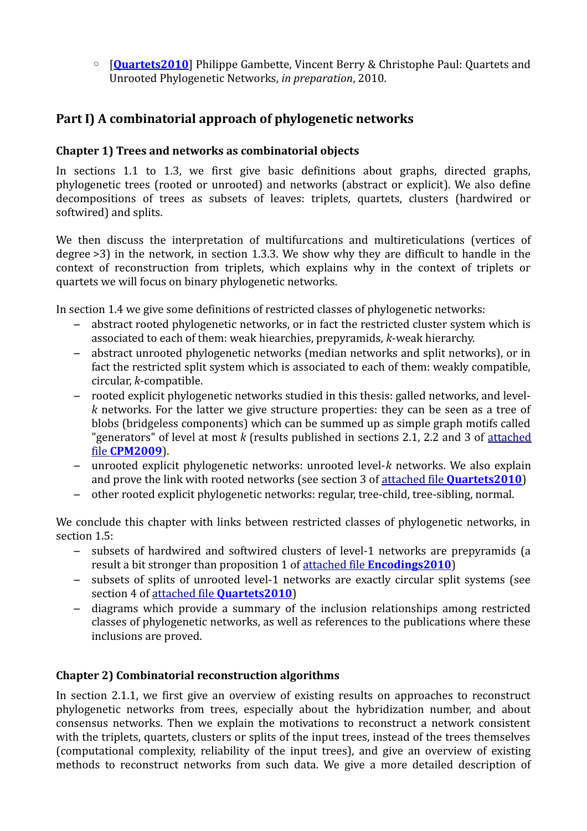◦ [**[Quartets2010](http://hal-upec-upem.archives-ouvertes.fr/hal-00678046/en)**] Philippe Gambette, Vincent Berry & Christophe Paul: Quartets and Unrooted Phylogenetic Networks, *in preparation*, 2010.

# **Part I) A combinatorial approach of phylogenetic networks**

### **Chapter 1) Trees and networks as combinatorial objects**

In sections 1.1 to 1.3, we first give basic definitions about graphs, directed graphs, phylogenetic trees (rooted or unrooted) and networks (abstract or explicit). We also define decompositions of trees as subsets of leaves: triplets, quartets, clusters (hardwired or softwired) and splits.

We then discuss the interpretation of multifurcations and multireticulations (vertices of degree >3) in the network, in section 1.3.3. We show why they are difficult to handle in the context of reconstruction from triplets, which explains why in the context of triplets or quartets we will focus on binary phylogenetic networks.

In section 1.4 we give some definitions of restricted classes of phylogenetic networks:

- abstract rooted phylogenetic networks, or in fact the restricted cluster system which is associated to each of them: weak hiearchies, prepyramids, *k*-weak hierarchy.
- abstract unrooted phylogenetic networks (median networks and split networks), or in fact the restricted split system which is associated to each of them: weakly compatible, circular, *k*-compatible.
- rooted explicit phylogenetic networks studied in this thesis: galled networks, and level*k* networks. For the latter we give structure properties: they can be seen as a tree of blobs (bridgeless components) which can be summed up as simple graph motifs called "generators" of level at most *k* (results published in sections 2.1, 2.2 and 3 of [attached](http://hal-lirmm.ccsd.cnrs.fr/lirmm-00371485/en/) file **[CPM2009](http://hal-lirmm.ccsd.cnrs.fr/lirmm-00371485/en/)**).
- unrooted explicit phylogenetic networks: unrooted level-*k* networks. We also explain and prove the link with rooted networks (see section 3 of attached file **[Quartets2010](https://hal-upec-upem.archives-ouvertes.fr/hal-00678046/en)**)
- other rooted explicit phylogenetic networks: regular, tree-child, tree-sibling, normal.

We conclude this chapter with links between restricted classes of phylogenetic networks, in section 1.5:

- subsets of hardwired and softwired clusters of level-1 networks are prepyramids (a result a bit stronger than proposition 1 of attached file **[Encodings2010](http://hal.archives-ouvertes.fr/hal-00609130/en/)**)
- subsets of splits of unrooted level-1 networks are exactly circular split systems (see section 4 of attached file **[Quartets2010](https://hal-upec-upem.archives-ouvertes.fr/hal-00678046/en)**)
- diagrams which provide a summary of the inclusion relationships among restricted classes of phylogenetic networks, as well as references to the publications where these inclusions are proved.

# **Chapter 2) Combinatorial reconstruction algorithms**

In section 2.1.1, we first give an overview of existing results on approaches to reconstruct phylogenetic networks from trees, especially about the hybridization number, and about consensus networks. Then we explain the motivations to reconstruct a network consistent with the triplets, quartets, clusters or splits of the input trees, instead of the trees themselves (computational complexity, reliability of the input trees), and give an overview of existing methods to reconstruct networks from such data. We give a more detailed description of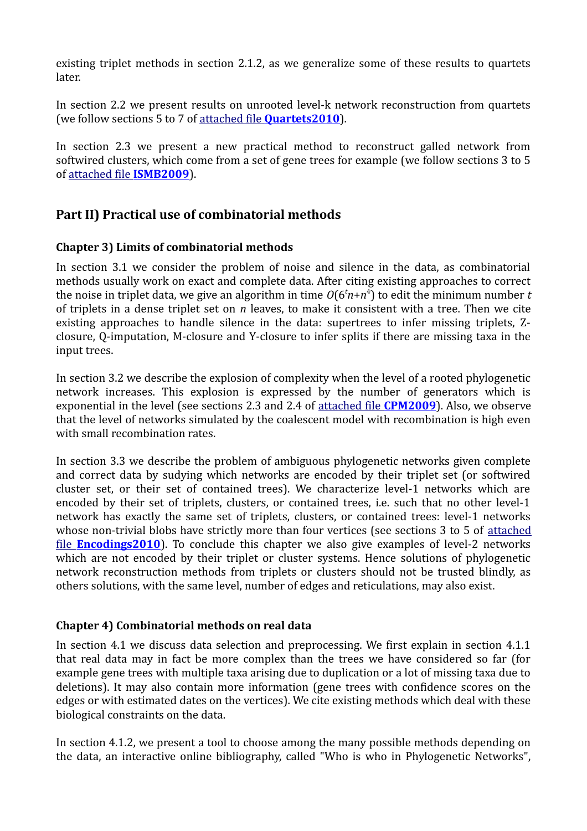existing triplet methods in section 2.1.2, as we generalize some of these results to quartets later.

In section 2.2 we present results on unrooted level-k network reconstruction from quartets (we follow sections 5 to 7 of attached file **[Quartets2010](https://hal-upec-upem.archives-ouvertes.fr/hal-00678046/en)**).

In section 2.3 we present a new practical method to reconstruct galled network from softwired clusters, which come from a set of gene trees for example (we follow sections 3 to 5 of [attached file](http://hal-lirmm.ccsd.cnrs.fr/lirmm-00368545/en/) **ISMB2009**).

# **Part II) Practical use of combinatorial methods**

#### **Chapter 3) Limits of combinatorial methods**

In section 3.1 we consider the problem of noise and silence in the data, as combinatorial methods usually work on exact and complete data. After citing existing approaches to correct the noise in triplet data, we give an algorithm in time *O*(6*<sup>t</sup>n*+*n* 4 ) to edit the minimum number *t* of triplets in a dense triplet set on *n* leaves, to make it consistent with a tree. Then we cite existing approaches to handle silence in the data: supertrees to infer missing triplets, Zclosure, Q-imputation, M-closure and Y-closure to infer splits if there are missing taxa in the input trees.

In section 3.2 we describe the explosion of complexity when the level of a rooted phylogenetic network increases. This explosion is expressed by the number of generators which is exponential in the level (see sections 2.3 and 2.4 of [attached file](http://hal-lirmm.ccsd.cnrs.fr/lirmm-00371485/en/) **CPM2009**). Also, we observe that the level of networks simulated by the coalescent model with recombination is high even with small recombination rates.

In section 3.3 we describe the problem of ambiguous phylogenetic networks given complete and correct data by sudying which networks are encoded by their triplet set (or softwired cluster set, or their set of contained trees). We characterize level-1 networks which are encoded by their set of triplets, clusters, or contained trees, i.e. such that no other level-1 network has exactly the same set of triplets, clusters, or contained trees: level-1 networks whose non-trivial blobs have strictly more than four vertices (see sections 3 to 5 of [attached](https://hal.archives-ouvertes.fr/hal-00609130/en/) file **[Encodings2010](https://hal.archives-ouvertes.fr/hal-00609130/en/)**). To conclude this chapter we also give examples of level-2 networks which are not encoded by their triplet or cluster systems. Hence solutions of phylogenetic network reconstruction methods from triplets or clusters should not be trusted blindly, as others solutions, with the same level, number of edges and reticulations, may also exist.

#### **Chapter 4) Combinatorial methods on real data**

In section 4.1 we discuss data selection and preprocessing. We first explain in section 4.1.1 that real data may in fact be more complex than the trees we have considered so far (for example gene trees with multiple taxa arising due to duplication or a lot of missing taxa due to deletions). It may also contain more information (gene trees with confidence scores on the edges or with estimated dates on the vertices). We cite existing methods which deal with these biological constraints on the data.

In section 4.1.2, we present a tool to choose among the many possible methods depending on the data, an interactive online bibliography, called "Who is who in Phylogenetic Networks",